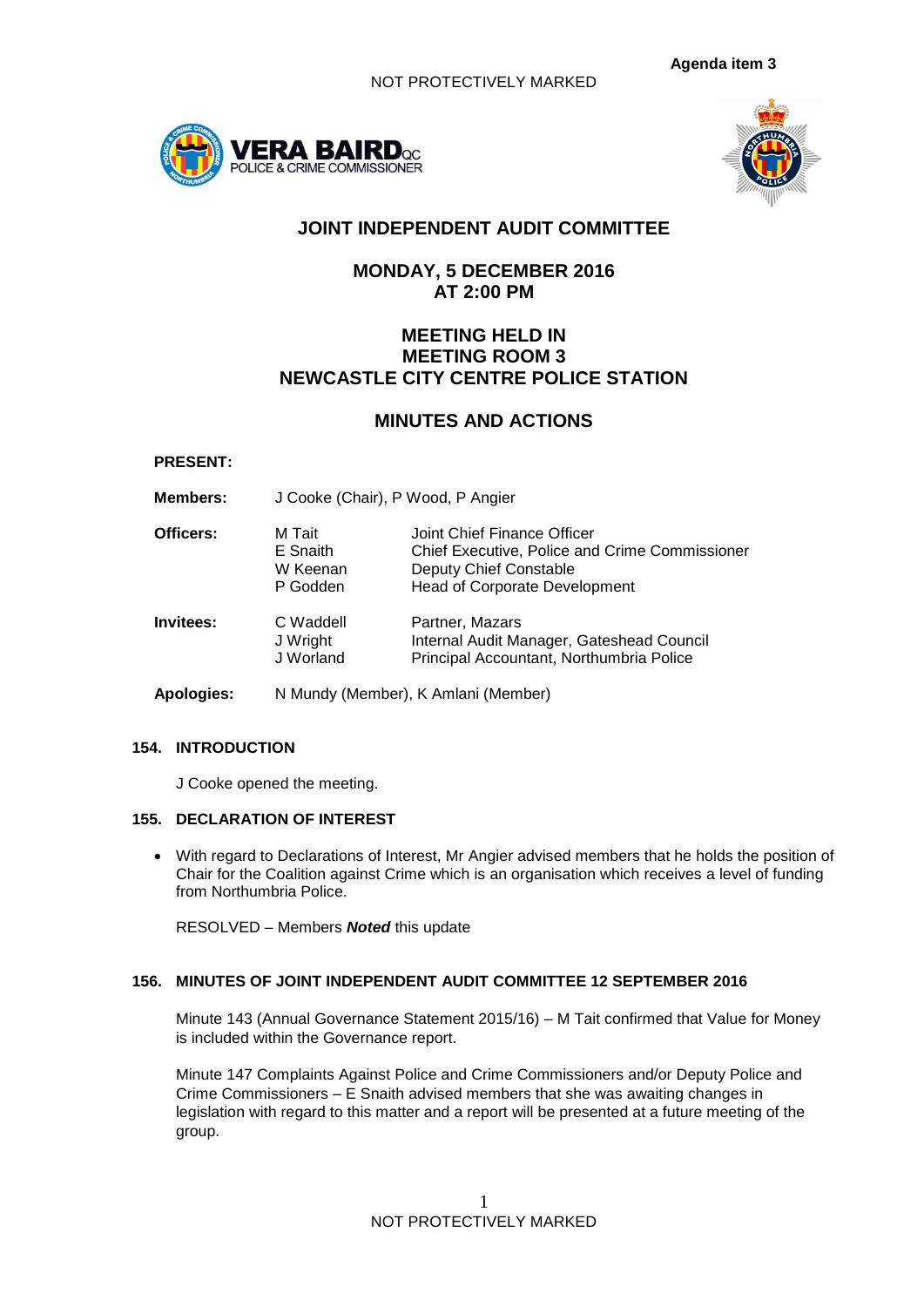



# **JOINT INDEPENDENT AUDIT COMMITTEE**

# **MONDAY, 5 DECEMBER 2016 AT 2:00 PM**

# **MEETING HELD IN MEETING ROOM 3 NEWCASTLE CITY CENTRE POLICE STATION**

# **MINUTES AND ACTIONS**

## **PRESENT:**

**Members:** J Cooke (Chair), P Wood, P Angier

| Officers: | M Tait<br>E Snaith<br>W Keenan<br>P Godden | Joint Chief Finance Officer<br>Chief Executive, Police and Crime Commissioner<br>Deputy Chief Constable<br><b>Head of Corporate Development</b> |
|-----------|--------------------------------------------|-------------------------------------------------------------------------------------------------------------------------------------------------|
| Invitees: | C Waddell<br>J Wright<br>J Worland         | Partner, Mazars<br>Internal Audit Manager, Gateshead Council<br>Principal Accountant, Northumbria Police                                        |

**Apologies:** N Mundy (Member), K Amlani (Member)

# **154. INTRODUCTION**

J Cooke opened the meeting.

### **155. DECLARATION OF INTEREST**

 With regard to Declarations of Interest, Mr Angier advised members that he holds the position of Chair for the Coalition against Crime which is an organisation which receives a level of funding from Northumbria Police.

RESOLVED – Members *Noted* this update

# **156. MINUTES OF JOINT INDEPENDENT AUDIT COMMITTEE 12 SEPTEMBER 2016**

Minute 143 (Annual Governance Statement 2015/16) – M Tait confirmed that Value for Money is included within the Governance report.

Minute 147 Complaints Against Police and Crime Commissioners and/or Deputy Police and Crime Commissioners – E Snaith advised members that she was awaiting changes in legislation with regard to this matter and a report will be presented at a future meeting of the group.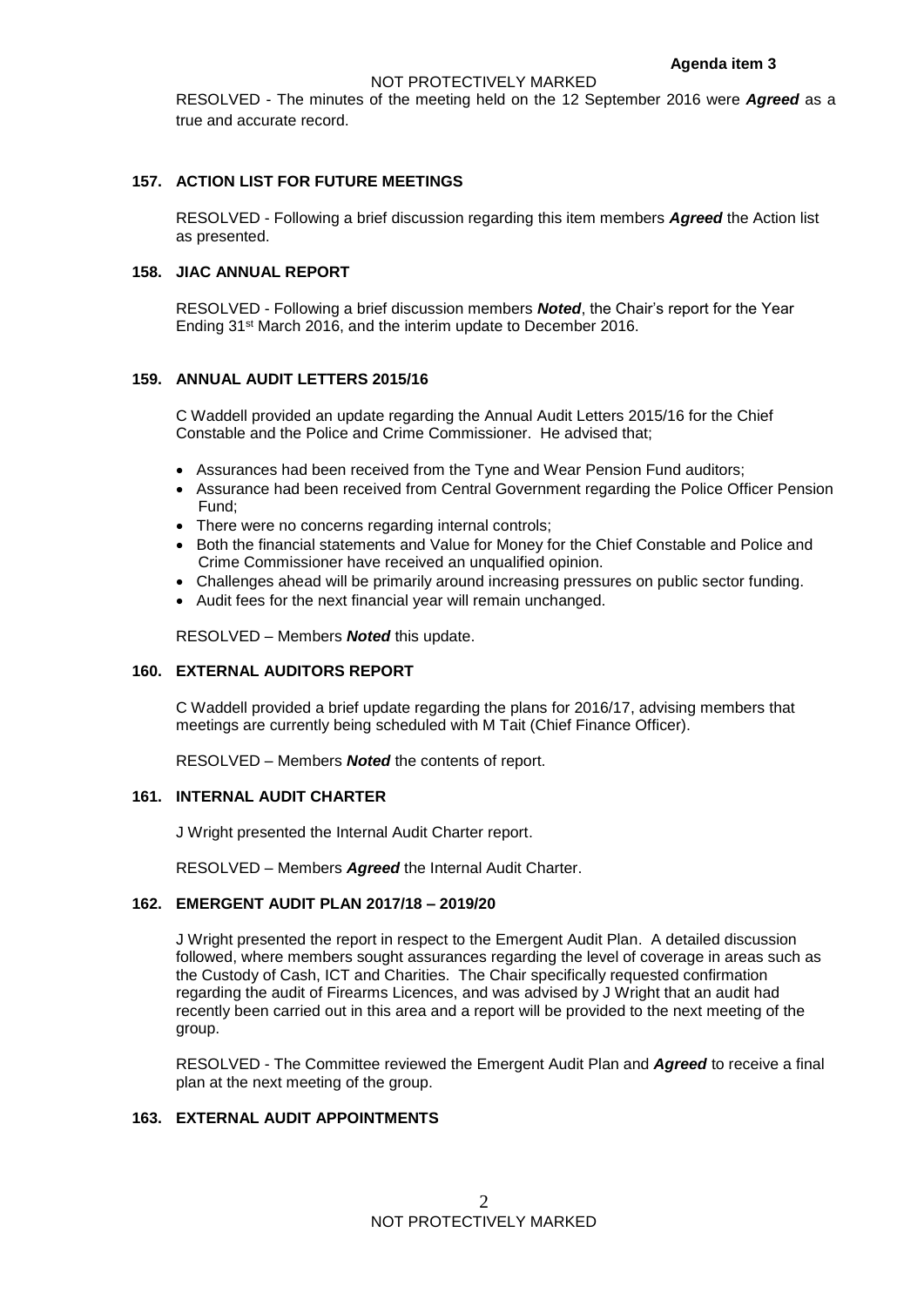RESOLVED - The minutes of the meeting held on the 12 September 2016 were *Agreed* as a true and accurate record.

## **157. ACTION LIST FOR FUTURE MEETINGS**

RESOLVED - Following a brief discussion regarding this item members *Agreed* the Action list as presented.

## **158. JIAC ANNUAL REPORT**

RESOLVED - Following a brief discussion members *Noted*, the Chair's report for the Year Ending 31st March 2016, and the interim update to December 2016.

### **159. ANNUAL AUDIT LETTERS 2015/16**

C Waddell provided an update regarding the Annual Audit Letters 2015/16 for the Chief Constable and the Police and Crime Commissioner. He advised that;

- Assurances had been received from the Tyne and Wear Pension Fund auditors:
- Assurance had been received from Central Government regarding the Police Officer Pension Fund;
- There were no concerns regarding internal controls;
- Both the financial statements and Value for Money for the Chief Constable and Police and Crime Commissioner have received an unqualified opinion.
- Challenges ahead will be primarily around increasing pressures on public sector funding.
- Audit fees for the next financial year will remain unchanged.

RESOLVED – Members *Noted* this update.

### **160. EXTERNAL AUDITORS REPORT**

C Waddell provided a brief update regarding the plans for 2016/17, advising members that meetings are currently being scheduled with M Tait (Chief Finance Officer).

RESOLVED – Members *Noted* the contents of report.

#### **161. INTERNAL AUDIT CHARTER**

J Wright presented the Internal Audit Charter report.

RESOLVED – Members *Agreed* the Internal Audit Charter.

# **162. EMERGENT AUDIT PLAN 2017/18 – 2019/20**

J Wright presented the report in respect to the Emergent Audit Plan. A detailed discussion followed, where members sought assurances regarding the level of coverage in areas such as the Custody of Cash, ICT and Charities. The Chair specifically requested confirmation regarding the audit of Firearms Licences, and was advised by J Wright that an audit had recently been carried out in this area and a report will be provided to the next meeting of the group.

RESOLVED - The Committee reviewed the Emergent Audit Plan and *Agreed* to receive a final plan at the next meeting of the group.

# **163. EXTERNAL AUDIT APPOINTMENTS**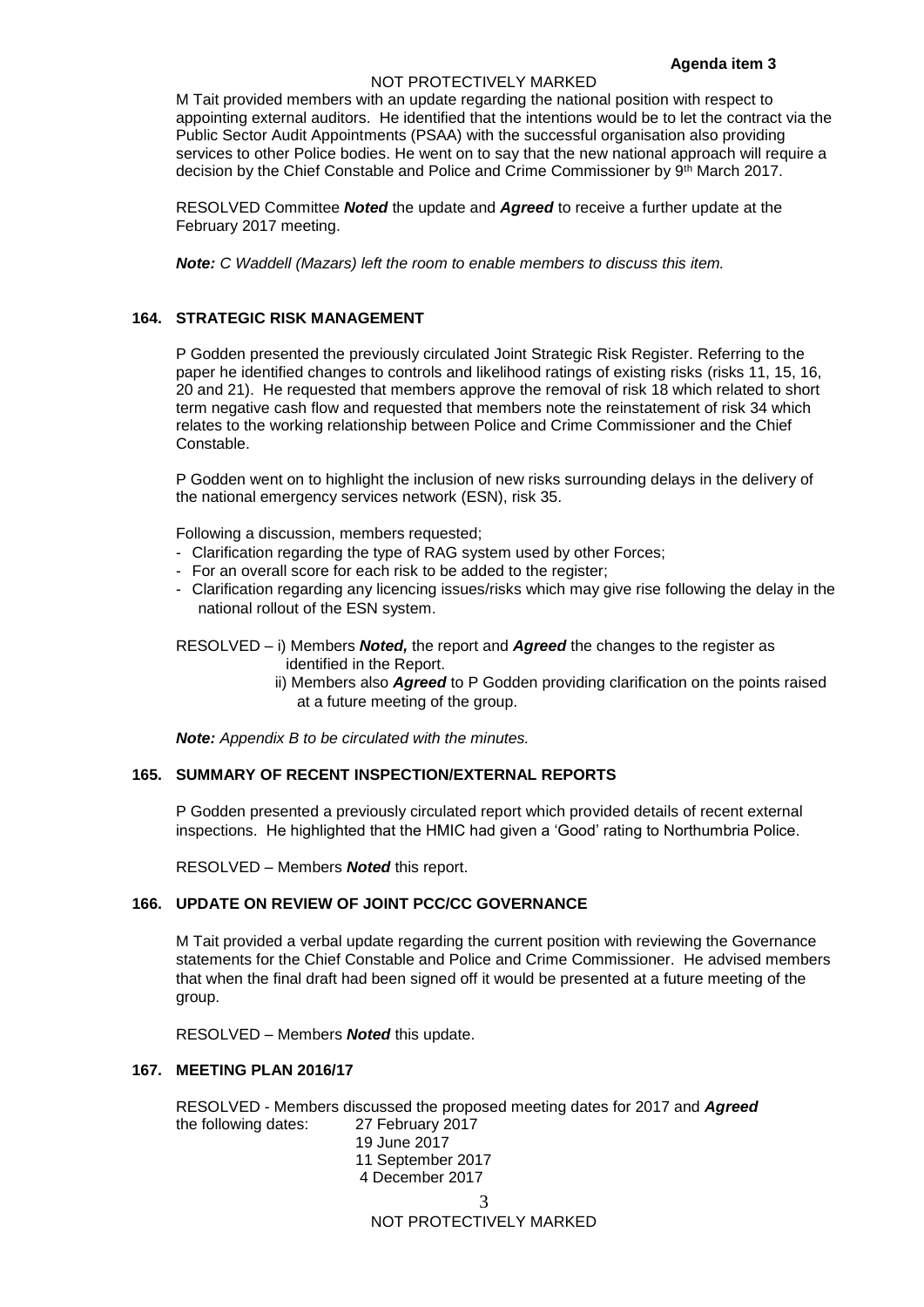#### NOT PROTECTIVELY MARKED

M Tait provided members with an update regarding the national position with respect to appointing external auditors. He identified that the intentions would be to let the contract via the Public Sector Audit Appointments (PSAA) with the successful organisation also providing services to other Police bodies. He went on to say that the new national approach will require a decision by the Chief Constable and Police and Crime Commissioner by 9th March 2017.

RESOLVED Committee *Noted* the update and *Agreed* to receive a further update at the February 2017 meeting.

*Note: C Waddell (Mazars) left the room to enable members to discuss this item.*

## **164. STRATEGIC RISK MANAGEMENT**

P Godden presented the previously circulated Joint Strategic Risk Register. Referring to the paper he identified changes to controls and likelihood ratings of existing risks (risks 11, 15, 16, 20 and 21). He requested that members approve the removal of risk 18 which related to short term negative cash flow and requested that members note the reinstatement of risk 34 which relates to the working relationship between Police and Crime Commissioner and the Chief Constable.

P Godden went on to highlight the inclusion of new risks surrounding delays in the delivery of the national emergency services network (ESN), risk 35.

Following a discussion, members requested;

- Clarification regarding the type of RAG system used by other Forces;
- For an overall score for each risk to be added to the register;
- Clarification regarding any licencing issues/risks which may give rise following the delay in the national rollout of the ESN system.

RESOLVED – i) Members *Noted,* the report and *Agreed* the changes to the register as identified in the Report.

> ii) Members also *Agreed* to P Godden providing clarification on the points raised at a future meeting of the group.

*Note: Appendix B to be circulated with the minutes.*

## **165. SUMMARY OF RECENT INSPECTION/EXTERNAL REPORTS**

P Godden presented a previously circulated report which provided details of recent external inspections. He highlighted that the HMIC had given a 'Good' rating to Northumbria Police.

RESOLVED – Members *Noted* this report.

### **166. UPDATE ON REVIEW OF JOINT PCC/CC GOVERNANCE**

M Tait provided a verbal update regarding the current position with reviewing the Governance statements for the Chief Constable and Police and Crime Commissioner. He advised members that when the final draft had been signed off it would be presented at a future meeting of the group.

RESOLVED – Members *Noted* this update.

#### **167. MEETING PLAN 2016/17**

RESOLVED - Members discussed the proposed meeting dates for 2017 and *Agreed* the following dates: 27 February 2017

3 NOT PROTECTIVELY MARKED 19 June 2017 11 September 2017 4 December 2017